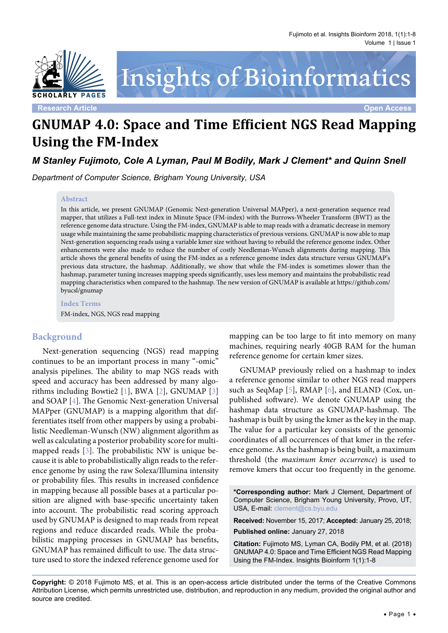

# Insights of Bioinformatics

**Research Article Open Access**

# **GNUMAP 4.0: Space and Time Efficient NGS Read Mapping Using the FM-Index**

*M Stanley Fujimoto, Cole A Lyman, Paul M Bodily, Mark J Clement\* and Quinn Snell*

*Department of Computer Science, Brigham Young University, USA*

#### **Abstract**

In this article, we present GNUMAP (Genomic Next-generation Universal MAPper), a next-generation sequence read mapper, that utilizes a Full-text index in Minute Space (FM-index) with the Burrows-Wheeler Transform (BWT) as the reference genome data structure. Using the FM-index, GNUMAP is able to map reads with a dramatic decrease in memory usage while maintaining the same probabilistic mapping characteristics of previous versions. GNUMAP is now able to map Next-generation sequencing reads using a variable kmer size without having to rebuild the reference genome index. Other enhancements were also made to reduce the number of costly Needleman-Wunsch alignments during mapping. This article shows the general benefits of using the FM-index as a reference genome index data structure versus GNUMAP's previous data structure, the hashmap. Additionally, we show that while the FM-index is sometimes slower than the hashmap, parameter tuning increases mapping speeds significantly, uses less memory and maintains the probabilistic read mapping characteristics when compared to the hashmap. The new version of GNUMAP is available at [https://github.com/](https://github.com/byucsl/gnumap) [byucsl/gnumap](https://github.com/byucsl/gnumap)

**Index Terms** FM-index, NGS, NGS read mapping

#### **Background**

Next-generation sequencing (NGS) read mapping continues to be an important process in many "-omic" analysis pipelines. The ability to map NGS reads with speed and accuracy has been addressed by many algorithms including Bowtie2 [\[1](#page-6-0)], BWA [\[2\]](#page-6-1), GNUMAP [\[3\]](#page-6-2) and SOAP [[4\]](#page-6-3). The Genomic Next-generation Universal MAPper (GNUMAP) is a mapping algorithm that differentiates itself from other mappers by using a probabilistic Needleman-Wunsch (NW) alignment algorithm as well as calculating a posterior probability score for multimapped reads [\[3\]](#page-6-2). The probabilistic NW is unique because it is able to probabilistically align reads to the reference genome by using the raw Solexa/Illumina intensity or probability files. This results in increased confidence in mapping because all possible bases at a particular position are aligned with base-specific uncertainty taken into account. The probabilistic read scoring approach used by GNUMAP is designed to map reads from repeat regions and reduce discarded reads. While the probabilistic mapping processes in GNUMAP has benefits, GNUMAP has remained difficult to use. The data structure used to store the indexed reference genome used for

mapping can be too large to fit into memory on many machines, requiring nearly 40GB RAM for the human reference genome for certain kmer sizes.

GNUMAP previously relied on a hashmap to index a reference genome similar to other NGS read mappers such as SeqMap [\[5\]](#page-6-4), RMAP [\[6\]](#page-6-5), and ELAND (Cox, unpublished software). We denote GNUMAP using the hashmap data structure as GNUMAP-hashmap. The hashmap is built by using the kmer as the key in the map. The value for a particular key consists of the genomic coordinates of all occurrences of that kmer in the reference genome. As the hashmap is being built, a maximum threshold (the *maximum kmer occurrence*) is used to remove kmers that occur too frequently in the genome.

**\*Corresponding author:** Mark J Clement, Department of Computer Science, Brigham Young University, Provo, UT, USA, E-mail: clement@cs.byu.edu

**Received:** November 15, 2017; **Accepted:** January 25, 2018; **Published online:** January 27, 2018

**Citation:** Fujimoto MS, Lyman CA, Bodily PM, et al. (2018) GNUMAP 4.0: Space and Time Efficient NGS Read Mapping Using the FM-Index. Insights Bioinform 1(1):1-8

**Copyright:** © 2018 Fujimoto MS, et al. This is an open-access article distributed under the terms of the Creative Commons Attribution License, which permits unrestricted use, distribution, and reproduction in any medium, provided the original author and source are credited.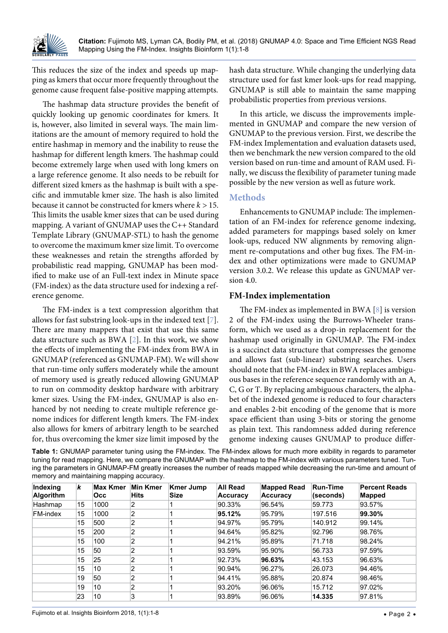

This reduces the size of the index and speeds up mapping as kmers that occur more frequently throughout the genome cause frequent false-positive mapping attempts.

The hashmap data structure provides the benefit of quickly looking up genomic coordinates for kmers. It is, however, also limited in several ways. The main limitations are the amount of memory required to hold the entire hashmap in memory and the inability to reuse the hashmap for different length kmers. The hashmap could become extremely large when used with long kmers on a large reference genome. It also needs to be rebuilt for different sized kmers as the hashmap is built with a specific and immutable kmer size. The hash is also limited because it cannot be constructed for kmers where *k >* 15. This limits the usable kmer sizes that can be used during mapping. A variant of GNUMAP uses the C++ Standard Template Library (GNUMAP-STL) to hash the genome to overcome the maximum kmer size limit. To overcome these weaknesses and retain the strengths afforded by probabilistic read mapping, GNUMAP has been modified to make use of an Full-text index in Minute space (FM-index) as the data structure used for indexing a reference genome.

The FM-index is a text compression algorithm that allows for fast substring look-ups in the indexed text [[7](#page-6-6)]. There are many mappers that exist that use this same data structure such as BWA [[2](#page-6-1)]. In this work, we show the effects of implementing the FM-index from BWA in GNUMAP (referenced as GNUMAP-FM). We will show that run-time only suffers moderately while the amount of memory used is greatly reduced allowing GNUMAP to run on commodity desktop hardware with arbitrary kmer sizes. Using the FM-index, GNUMAP is also enhanced by not needing to create multiple reference genome indices for different length kmers. The FM-index also allows for kmers of arbitrary length to be searched for, thus overcoming the kmer size limit imposed by the hash data structure. While changing the underlying data structure used for fast kmer look-ups for read mapping, GNUMAP is still able to maintain the same mapping probabilistic properties from previous versions.

In this article, we discuss the improvements implemented in GNUMAP and compare the new version of GNUMAP to the previous version. First, we describe the FM-index Implementation and evaluation datasets used, then we benchmark the new version compared to the old version based on run-time and amount of RAM used. Finally, we discuss the flexibility of parameter tuning made possible by the new version as well as future work.

#### **Methods**

Enhancements to GNUMAP include: The implementation of an FM-index for reference genome indexing, added parameters for mappings based solely on kmer look-ups, reduced NW alignments by removing alignment re-computations and other bug fixes. The FM-index and other optimizations were made to GNUMAP version 3.0.2. We release this update as GNUMAP version 4.0.

# **FM-Index implementation**

The FM-index as implemented in BWA [\[8\]](#page-6-7) is version 2 of the FM-index using the Burrows-Wheeler transform, which we used as a drop-in replacement for the hashmap used originally in GNUMAP. The FM-index is a succinct data structure that compresses the genome and allows fast (sub-linear) substring searches. Users should note that the FM-index in BWA replaces ambiguous bases in the reference sequence randomly with an A, C, G or T. By replacing ambiguous characters, the alphabet of the indexed genome is reduced to four characters and enables 2-bit encoding of the genome that is more space efficient than using 3-bits or storing the genome as plain text. This randomness added during reference genome indexing causes GNUMAP to produce differ-

<span id="page-1-0"></span>**Table 1:** GNUMAP parameter tuning using the FM-index. The FM-index allows for much more exibility in regards to parameter tuning for read mapping. Here, we compare the GNUMAP with the hashmap to the FM-index with various parameters tuned. Tuning the parameters in GNUMAP-FM greatly increases the number of reads mapped while decreasing the run-time and amount of memory and maintaining mapping accuracy.

| Indexing<br><b>Algorithm</b> | k  | Max Kmer<br>Occ. | <b>Min Kmer</b><br><b>Hits</b> | <b>Kmer Jump</b><br><b>Size</b> | <b>All Read</b><br><b>Accuracy</b> | <b>Mapped Read</b><br><b>Accuracy</b> | <b>Run-Time</b><br>(seconds) | <b>Percent Reads</b><br><b>Mapped</b> |
|------------------------------|----|------------------|--------------------------------|---------------------------------|------------------------------------|---------------------------------------|------------------------------|---------------------------------------|
| Hashmap                      | 15 | 1000             | 2                              |                                 | 90.33%                             | 96.54%                                | 59.773                       | 93.57%                                |
| <b>FM-index</b>              | 15 | 1000             | $\overline{2}$                 |                                 | 95.12%                             | 95.79%                                | 197.516                      | 99.30%                                |
|                              | 15 | 500              | $\overline{2}$                 |                                 | 94.97%                             | 95.79%                                | 140.912                      | 99.14%                                |
|                              | 15 | 200              | $\overline{2}$                 |                                 | 94.64%                             | 95.82%                                | 92.796                       | 98.76%                                |
|                              | 15 | 100              | $\overline{2}$                 |                                 | 94.21%                             | 95.89%                                | 71.718                       | 98.24%                                |
|                              | 15 | 50               | $\overline{2}$                 |                                 | 93.59%                             | 95.90%                                | 56.733                       | 97.59%                                |
|                              | 15 | 25               | $\overline{2}$                 |                                 | 92.73%                             | 96.63%                                | 43.153                       | 96.63%                                |
|                              | 15 | 10               | $\overline{2}$                 |                                 | 90.94%                             | 96.27%                                | 26.073                       | 94.46%                                |
|                              | 19 | 50               | 2                              |                                 | 94.41%                             | 95.88%                                | 20.874                       | 98.46%                                |
|                              | 19 | 10               | $\overline{2}$                 |                                 | 93.20%                             | 96.06%                                | 15.712                       | 97.02%                                |
|                              | 23 | 10               | 3                              |                                 | 93.89%                             | 96.06%                                | 14.335                       | 97.81%                                |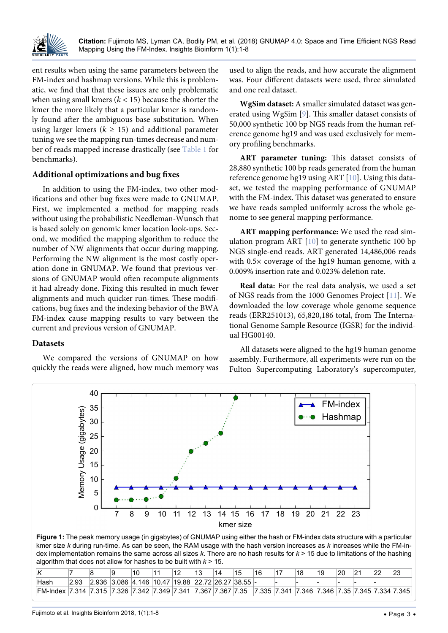

ent results when using the same parameters between the FM-index and hashmap versions. While this is problematic, we find that that these issues are only problematic when using small kmers  $(k < 15)$  because the shorter the kmer the more likely that a particular kmer is randomly found after the ambiguous base substitution. When using larger kmers ( $k \geq 15$ ) and additional parameter tuning we see the mapping run-times decrease and number of reads mapped increase drastically (see [Table 1](#page-1-0) for benchmarks).

#### **Additional optimizations and bug fixes**

In addition to using the FM-index, two other modifications and other bug fixes were made to GNUMAP. First, we implemented a method for mapping reads without using the probabilistic Needleman-Wunsch that is based solely on genomic kmer location look-ups. Second, we modified the mapping algorithm to reduce the number of NW alignments that occur during mapping. Performing the NW alignment is the most costly operation done in GNUMAP. We found that previous versions of GNUMAP would often recompute alignments it had already done. Fixing this resulted in much fewer alignments and much quicker run-times. These modifications, bug fixes and the indexing behavior of the BWA FM-index cause mapping results to vary between the current and previous version of GNUMAP.

#### **Datasets**

<span id="page-2-0"></span>Ĩ

We compared the versions of GNUMAP on how quickly the reads were aligned, how much memory was used to align the reads, and how accurate the alignment was. Four different datasets were used, three simulated and one real dataset.

**WgSim dataset:** A smaller simulated dataset was generated using WgSim [\[9\]](#page-6-8). This smaller dataset consists of 50,000 synthetic 100 bp NGS reads from the human reference genome hg19 and was used exclusively for memory profiling benchmarks.

**ART parameter tuning:** This dataset consists of 28,880 synthetic 100 bp reads generated from the human reference genome hg19 using ART [\[10\]](#page-6-9). Using this dataset, we tested the mapping performance of GNUMAP with the FM-index. This dataset was generated to ensure we have reads sampled uniformly across the whole genome to see general mapping performance.

**ART mapping performance:** We used the read simulation program ART [\[10\]](#page-6-9) to generate synthetic 100 bp NGS single-end reads. ART generated 14,486,006 reads with 0.5× coverage of the hg19 human genome, with a 0.009% insertion rate and 0.023% deletion rate.

**Real data:** For the real data analysis, we used a set of NGS reads from the 1000 Genomes Project [\[11\]](#page-6-10). We downloaded the low coverage whole genome sequence reads (ERR251013), 65,820,186 total, from The International Genome Sample Resource (IGSR) for the individual HG00140.

All datasets were aligned to the hg19 human genome assembly. Furthermore, all experiments were run on the Fulton Supercomputing Laboratory's supercomputer,



**Figure 1:** The peak memory usage (in gigabytes) of GNUMAP using either the hash or FM-index data structure with a particular kmer size *k* during run-time. As can be seen, the RAM usage with the hash version increases as *k* increases while the FM-index implementation remains the same across all sizes *k*. There are no hash results for *k* > 15 due to limitations of the hashing algorithm that does not allow for hashes to be built with *k* > 15.

|                                                               |      |                                                     | 10 | 12 | 14 | 15 | 16 | 17                                                           | 18 | 19 | 20 | $\overline{21}$ | 22 | 23 |
|---------------------------------------------------------------|------|-----------------------------------------------------|----|----|----|----|----|--------------------------------------------------------------|----|----|----|-----------------|----|----|
| Hash                                                          | 2.93 | $ 2.936 3.086 4.146 10.47 19.88 22.72 26.27 38.55 $ |    |    |    |    |    |                                                              |    |    |    |                 |    |    |
| FM-Index 7.314 7.315 7.326 7.342 7.349 7.341 7.367 7.367 7.35 |      |                                                     |    |    |    |    |    | 7.335   7.341   7.346   7.346   7.35   7.345   7.334   7.345 |    |    |    |                 |    |    |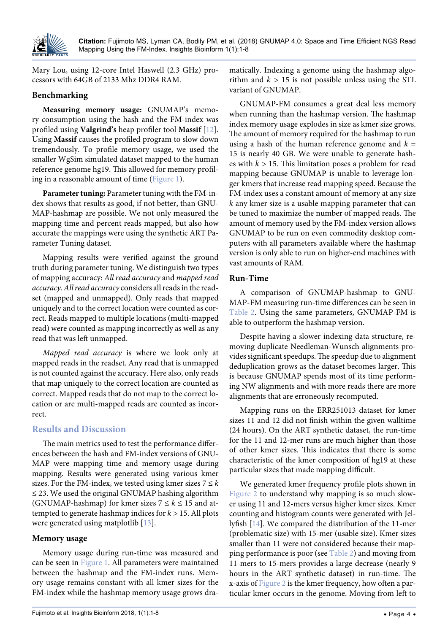

Mary Lou, using 12-core Intel Haswell (2.3 GHz) processors with 64GB of 2133 Mhz DDR4 RAM.

#### **Benchmarking**

**Measuring memory usage:** GNUMAP's memory consumption using the hash and the FM-index was profiled using **Valgrind's** heap profiler tool **Massif** [[12](#page-7-1)]. Using **Massif** causes the profiled program to slow down tremendously. To profile memory usage, we used the smaller WgSim simulated dataset mapped to the human reference genome hg19. This allowed for memory profiling in a reasonable amount of time [\(Figure 1\)](#page-2-0).

**Parameter tuning:** Parameter tuning with the FM-index shows that results as good, if not better, than GNU-MAP-hashmap are possible. We not only measured the mapping time and percent reads mapped, but also how accurate the mappings were using the synthetic ART Parameter Tuning dataset.

Mapping results were verified against the ground truth during parameter tuning. We distinguish two types of mapping accuracy: *All read accuracy* and *mapped read accuracy*. *All read accuracy* considers all reads in the readset (mapped and unmapped). Only reads that mapped uniquely and to the correct location were counted as correct. Reads mapped to multiple locations (multi-mapped read) were counted as mapping incorrectly as well as any read that was left unmapped.

*Mapped read accuracy* is where we look only at mapped reads in the readset. Any read that is unmapped is not counted against the accuracy. Here also, only reads that map uniquely to the correct location are counted as correct. Mapped reads that do not map to the correct location or are multi-mapped reads are counted as incorrect.

# **Results and Discussion**

The main metrics used to test the performance differences between the hash and FM-index versions of GNU-MAP were mapping time and memory usage during mapping. Results were generated using various kmer sizes. For the FM-index, we tested using kmer sizes  $7 \leq k$  $\leq$  23. We used the original GNUMAP hashing algorithm (GNUMAP-hashmap) for kmer sizes  $7 \le k \le 15$  and attempted to generate hashmap indices for *k >* 15. All plots were generated using matplotlib [[13](#page-7-2)].

#### **Memory usage**

Memory usage during run-time was measured and can be seen in [Figure 1.](#page-2-0) All parameters were maintained between the hashmap and the FM-index runs. Memory usage remains constant with all kmer sizes for the FM-index while the hashmap memory usage grows dra-

matically. Indexing a genome using the hashmap algorithm and  $k > 15$  is not possible unless using the STL variant of GNUMAP.

GNUMAP-FM consumes a great deal less memory when running than the hashmap version. The hashmap index memory usage explodes in size as kmer size grows. The amount of memory required for the hashmap to run using a hash of the human reference genome and  $k =$ 15 is nearly 40 GB. We were unable to generate hashes with  $k > 15$ . This limitation poses a problem for read mapping because GNUMAP is unable to leverage longer kmers that increase read mapping speed. Because the FM-index uses a constant amount of memory at any size *k* any kmer size is a usable mapping parameter that can be tuned to maximize the number of mapped reads. The amount of memory used by the FM-index version allows GNUMAP to be run on even commodity desktop computers with all parameters available where the hashmap version is only able to run on higher-end machines with vast amounts of RAM.

#### **Run-Time**

A comparison of GNUMAP-hashmap to GNU-MAP-FM measuring run-time differences can be seen in [Table 2](#page-4-0). Using the same parameters, GNUMAP-FM is able to outperform the hashmap version.

Despite having a slower indexing data structure, removing duplicate Needleman-Wunsch alignments provides significant speedups. The speedup due to alignment deduplication grows as the dataset becomes larger. This is because GNUMAP spends most of its time performing NW alignments and with more reads there are more alignments that are erroneously recomputed.

Mapping runs on the ERR251013 dataset for kmer sizes 11 and 12 did not finish within the given walltime (24 hours). On the ART synthetic dataset, the run-time for the 11 and 12-mer runs are much higher than those of other kmer sizes. This indicates that there is some characteristic of the kmer composition of hg19 at these particular sizes that made mapping difficult.

We generated kmer frequency profile plots shown in [Figure 2](#page-5-0) to understand why mapping is so much slower using 11 and 12-mers versus higher kmer sizes. Kmer counting and histogram counts were generated with Jellyfish [[14\]](#page-7-0). We compared the distribution of the 11-mer (problematic size) with 15-mer (usable size). Kmer sizes smaller than 11 were not considered because their mapping performance is poor (see [Table 2\)](#page-4-0) and moving from 11-mers to 15-mers provides a large decrease (nearly 9 hours in the ART synthetic dataset) in run-time. The x-axis of [Figure 2](#page-5-0) is the kmer frequency, how often a particular kmer occurs in the genome. Moving from left to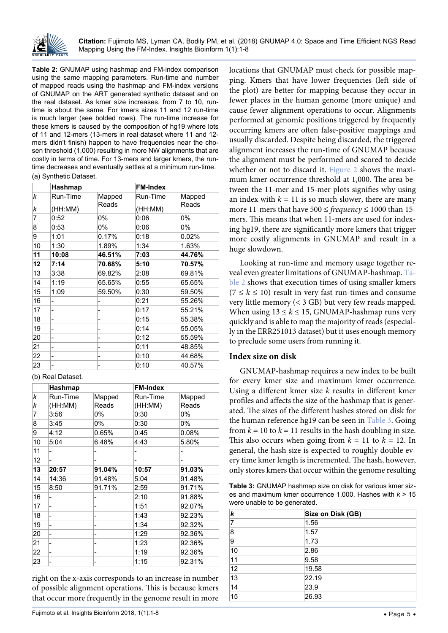

<span id="page-4-0"></span>**Table 2:** GNUMAP using hashmap and FM-index comparison using the same mapping parameters. Run-time and number of mapped reads using the hashmap and FM-index versions of GNUMAP on the ART generated synthetic dataset and on the real dataset. As kmer size increases, from 7 to 10, runtime is about the same. For kmers sizes 11 and 12 run-time is much larger (see bolded rows). The run-time increase for these kmers is caused by the composition of hg19 where lots of 11 and 12-mers (13-mers in real dataset where 11 and 12 mers didn't finish) happen to have frequencies near the chosen threshold (1,000) resulting in more NW alignments that are costly in terms of time. For 13-mers and larger kmers, the runtime decreases and eventually settles at a minimum run-time.

#### (a) Synthetic Dataset.

|        | Hashmap             |                 | <b>FM-Index</b>     |                 |  |  |  |
|--------|---------------------|-----------------|---------------------|-----------------|--|--|--|
| k<br>k | Run-Time<br>(HH:MM) | Mapped<br>Reads | Run-Time<br>(HH:MM) | Mapped<br>Reads |  |  |  |
| 7      | 0:52                | 0%              | 0:06                | 0%              |  |  |  |
| 8      | 0:53                | $0\%$           | 0:06                | 0%              |  |  |  |
| 9      | 1:01                | 0.17%           | 0:18                | 0.02%           |  |  |  |
| 10     | 1:30                | 1.89%           | 1:34                | 1.63%           |  |  |  |
| 11     | 10:08               | 46.51%          | 7:03                | 44.76%          |  |  |  |
| 12     | 7:14                | 70.68%          | 5:10                | 70.57%          |  |  |  |
| 13     | 3:38                | 69.82%          | 2:08                | 69.81%          |  |  |  |
| 14     | 1:19                | 65.65%          | 0:55                | 65.65%          |  |  |  |
| 15     | 1:09                | 59.50%          | 0:30                | 59.50%          |  |  |  |
| 16     | -                   |                 | 0:21                | 55.26%          |  |  |  |
| 17     | -                   |                 | 0:17                | 55.21%          |  |  |  |
| 18     | -                   |                 | 0:15                | 55.38%          |  |  |  |
| 19     | ۰                   | -               | 0:14                | 55.05%          |  |  |  |
| 20     | -                   | -               | 0:12                | 55.59%          |  |  |  |
| 21     | -                   |                 | 0:11                | 48.85%          |  |  |  |
| 22     | -                   |                 | 0:10                | 44.68%          |  |  |  |
| 23     | -                   |                 | 0:10                | 40.57%          |  |  |  |

(b) Real Dataset.

|        | Hashmap             |                 | <b>FM-Index</b>     |                 |  |  |  |
|--------|---------------------|-----------------|---------------------|-----------------|--|--|--|
| k<br>k | Run-Time<br>(HH:MM) | Mapped<br>Reads | Run-Time<br>(HH:MM) | Mapped<br>Reads |  |  |  |
| 7      | 3:56                | 0%              | 0:30                | 0%              |  |  |  |
| 8      | 3:45                | 0%              | 0:30                | 0%              |  |  |  |
| 9      | 4:12                | 0.65%           | 0:45                | 0.08%           |  |  |  |
| 10     | 5:04                | 6.48%           | 4:43                | 5.80%           |  |  |  |
| 11     | -                   |                 |                     |                 |  |  |  |
| 12     |                     |                 |                     |                 |  |  |  |
| 13     | 20:57               | 91.04%          | 10:57               | 91.03%          |  |  |  |
| 14     | 14:36               | 91.48%          | 5:04                | 91.48%          |  |  |  |
| 15     | 8:50                | 91.71%          | 2:59                | 91.71%          |  |  |  |
| 16     | Ξ.                  | -               | 2:10                | 91.88%          |  |  |  |
| 17     | -                   | -               | 1:51                | 92.07%          |  |  |  |
| 18     |                     |                 | 1:43                | 92.23%          |  |  |  |
| 19     | -                   |                 | 1:34                | 92.32%          |  |  |  |
| 20     |                     |                 | 1:29                | 92.36%          |  |  |  |
| 21     |                     |                 | 1:23                | 92.36%          |  |  |  |
| 22     | -                   |                 | 1:19                | 92.36%          |  |  |  |
| 23     |                     |                 | 1:15                | 92.31%          |  |  |  |

right on the x-axis corresponds to an increase in number of possible alignment operations. This is because kmers that occur more frequently in the genome result in more locations that GNUMAP must check for possible mapping. Kmers that have lower frequencies (left side of the plot) are better for mapping because they occur in fewer places in the human genome (more unique) and cause fewer alignment operations to occur. Alignments performed at genomic positions triggered by frequently occurring kmers are often false-positive mappings and usually discarded. Despite being discarded, the triggered alignment increases the run-time of GNUMAP because the alignment must be performed and scored to decide whether or not to discard it. [Figure 2](#page-5-0) shows the maximum kmer occurrence threshold at 1,000. The area between the 11-mer and 15-mer plots signifies why using an index with  $k = 11$  is so much slower, there are many more 11-mers that have 500 ≤ *frequency* ≤ 1000 than 15 mers. This means that when 11-mers are used for indexing hg19, there are significantly more kmers that trigger more costly alignments in GNUMAP and result in a huge slowdown.

Looking at run-time and memory usage together reveal even greater limitations of GNUMAP-hashmap. [Ta](#page-4-0)[ble 2](#page-4-0) shows that execution times of using smaller kmers  $(7 \leq k \leq 10)$  result in very fast run-times and consume very little memory (< 3 GB) but very few reads mapped. When using  $13 \le k \le 15$ , GNUMAP-hashmap runs very quickly and is able to map the majority of reads (especially in the ERR251013 dataset) but it uses enough memory to preclude some users from running it.

#### **Index size on disk**

GNUMAP-hashmap requires a new index to be built for every kmer size and maximum kmer occurrence. Using a different kmer size *k* results in different kmer profiles and affects the size of the hashmap that is generated. The sizes of the different hashes stored on disk for the human reference hg19 can be seen in [Table 3](#page-4-1). Going from  $k = 10$  to  $k = 11$  results in the hash doubling in size. This also occurs when going from  $k = 11$  to  $k = 12$ . In general, the hash size is expected to roughly double every time kmer length is incremented. The hash, however, only stores kmers that occur within the genome resulting

<span id="page-4-1"></span>**Table 3:** GNUMAP hashmap size on disk for various kmer sizes and maximum kmer occurrence 1,000. Hashes with *k* > 15 were unable to be generated.

| k  | Size on Disk (GB) |
|----|-------------------|
| 7  | 1.56              |
| 8  | 1.57              |
| 9  | 1.73              |
| 10 | 2.86              |
| 11 | 9.58              |
| 12 | 19.58             |
| 13 | 22.19             |
| 14 | 23.9              |
| 15 | 26.93             |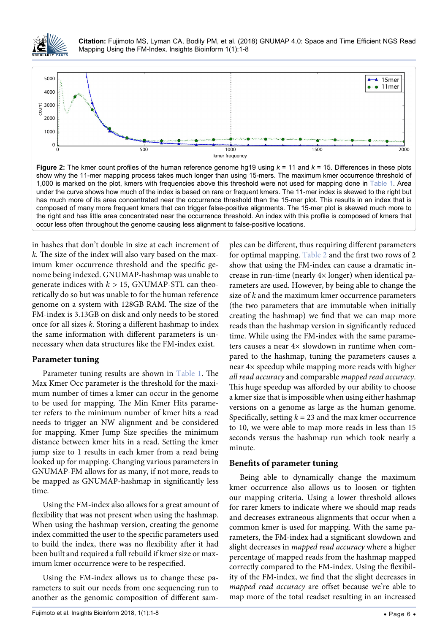

**Citation:** Fujimoto MS, Lyman CA, Bodily PM, et al. (2018) GNUMAP 4.0: Space and Time Efficient NGS Read Mapping Using the FM-Index. Insights Bioinform 1(1):1-8

<span id="page-5-0"></span>

**Figure 2:** The kmer count profiles of the human reference genome hg19 using *k* = 11 and *k* = 15. Differences in these plots show why the 11-mer mapping process takes much longer than using 15-mers. The maximum kmer occurrence threshold of 1,000 is marked on the plot, kmers with frequencies above this threshold were not used for mapping done in [Table 1](#page-1-0). Area under the curve shows how much of the index is based on rare or frequent kmers. The 11-mer index is skewed to the right but has much more of its area concentrated near the occurrence threshold than the 15-mer plot. This results in an index that is composed of many more frequent kmers that can trigger false-positive alignments. The 15-mer plot is skewed much more to the right and has little area concentrated near the occurrence threshold. An index with this profile is composed of kmers that occur less often throughout the genome causing less alignment to false-positive locations.

in hashes that don't double in size at each increment of *k*. The size of the index will also vary based on the maximum kmer occurrence threshold and the specific genome being indexed. GNUMAP-hashmap was unable to generate indices with  $k > 15$ , GNUMAP-STL can theoretically do so but was unable to for the human reference genome on a system with 128GB RAM. The size of the FM-index is 3.13GB on disk and only needs to be stored once for all sizes *k*. Storing a different hashmap to index the same information with different parameters is unnecessary when data structures like the FM-index exist.

#### **Parameter tuning**

Parameter tuning results are shown in [Table 1.](#page-1-0) The Max Kmer Occ parameter is the threshold for the maximum number of times a kmer can occur in the genome to be used for mapping. The Min Kmer Hits parameter refers to the minimum number of kmer hits a read needs to trigger an NW alignment and be considered for mapping. Kmer Jump Size specifies the minimum distance between kmer hits in a read. Setting the kmer jump size to 1 results in each kmer from a read being looked up for mapping. Changing various parameters in GNUMAP-FM allows for as many, if not more, reads to be mapped as GNUMAP-hashmap in significantly less time.

Using the FM-index also allows for a great amount of flexibility that was not present when using the hashmap. When using the hashmap version, creating the genome index committed the user to the specific parameters used to build the index, there was no flexibility after it had been built and required a full rebuild if kmer size or maximum kmer occurrence were to be respecified.

Using the FM-index allows us to change these parameters to suit our needs from one sequencing run to another as the genomic composition of different sam-

ples can be different, thus requiring different parameters for optimal mapping. [Table 2](#page-4-0) and the first two rows of 2 show that using the FM-index can cause a dramatic increase in run-time (nearly 4× longer) when identical parameters are used. However, by being able to change the size of *k* and the maximum kmer occurrence parameters (the two parameters that are immutable when initially creating the hashmap) we find that we can map more reads than the hashmap version in significantly reduced time. While using the FM-index with the same parameters causes a near 4× slowdown in runtime when compared to the hashmap, tuning the parameters causes a near 4× speedup while mapping more reads with higher *all read accuracy* and comparable *mapped read accuracy*. This huge speedup was afforded by our ability to choose a kmer size that is impossible when using either hashmap versions on a genome as large as the human genome. Specifically, setting  $k = 23$  and the max kmer occurrence to 10, we were able to map more reads in less than 15 seconds versus the hashmap run which took nearly a minute.

#### **Benefits of parameter tuning**

Being able to dynamically change the maximum kmer occurrence also allows us to loosen or tighten our mapping criteria. Using a lower threshold allows for rarer kmers to indicate where we should map reads and decreases extraneous alignments that occur when a common kmer is used for mapping. With the same parameters, the FM-index had a significant slowdown and slight decreases in *mapped read accuracy* where a higher percentage of mapped reads from the hashmap mapped correctly compared to the FM-index. Using the flexibility of the FM-index, we find that the slight decreases in *mapped read accuracy* are offset because we're able to map more of the total readset resulting in an increased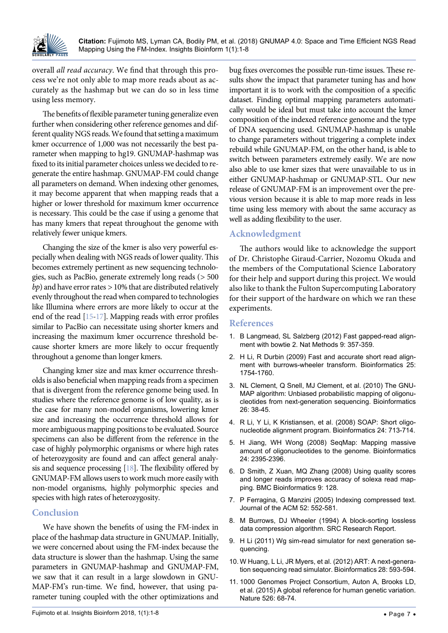

overall *all read accuracy*. We find that through this process we're not only able to map more reads about as accurately as the hashmap but we can do so in less time using less memory.

The benefits of flexible parameter tuning generalize even further when considering other reference genomes and different quality NGS reads. We found that setting a maximum kmer occurrence of 1,000 was not necessarily the best parameter when mapping to hg19. GNUMAP-hashmap was fixed to its initial parameter choices unless we decided to regenerate the entire hashmap. GNUMAP-FM could change all parameters on demand. When indexing other genomes, it may become apparent that when mapping reads that a higher or lower threshold for maximum kmer occurrence is necessary. This could be the case if using a genome that has many kmers that repeat throughout the genome with relatively fewer unique kmers.

Changing the size of the kmer is also very powerful especially when dealing with NGS reads of lower quality. This becomes extremely pertinent as new sequencing technologies, such as PacBio, generate extremely long reads (*>* 500 *bp*) and have error rates *>* 10% that are distributed relatively evenly throughout the read when compared to technologies like Illumina where errors are more likely to occur at the end of the read [[15](#page-7-3)[-17\]](#page-7-4). Mapping reads with error profiles similar to PacBio can necessitate using shorter kmers and increasing the maximum kmer occurrence threshold because shorter kmers are more likely to occur frequently throughout a genome than longer kmers.

Changing kmer size and max kmer occurrence thresholds is also beneficial when mapping reads from a specimen that is divergent from the reference genome being used. In studies where the reference genome is of low quality, as is the case for many non-model organisms, lowering kmer size and increasing the occurrence threshold allows for more ambiguous mapping positions to be evaluated. Source specimens can also be different from the reference in the case of highly polymorphic organisms or where high rates of heterozygosity are found and can affect general analysis and sequence processing [\[18\]](#page-7-5). The flexibility offered by GNUMAP-FM allows users to work much more easily with non-model organisms, highly polymorphic species and species with high rates of heterozygosity.

# **Conclusion**

We have shown the benefits of using the FM-index in place of the hashmap data structure in GNUMAP. Initially, we were concerned about using the FM-index because the data structure is slower than the hashmap. Using the same parameters in GNUMAP-hashmap and GNUMAP-FM, we saw that it can result in a large slowdown in GNU-MAP-FM's run-time. We find, however, that using parameter tuning coupled with the other optimizations and bug fixes overcomes the possible run-time issues. These results show the impact that parameter tuning has and how important it is to work with the composition of a specific dataset. Finding optimal mapping parameters automatically would be ideal but must take into account the kmer composition of the indexed reference genome and the type of DNA sequencing used. GNUMAP-hashmap is unable to change parameters without triggering a complete index rebuild while GNUMAP-FM, on the other hand, is able to switch between parameters extremely easily. We are now also able to use kmer sizes that were unavailable to us in either GNUMAP-hashmap or GNUMAP-STL. Our new release of GNUMAP-FM is an improvement over the previous version because it is able to map more reads in less time using less memory with about the same accuracy as well as adding flexibility to the user.

# **Acknowledgment**

The authors would like to acknowledge the support of Dr. Christophe Giraud-Carrier, Nozomu Okuda and the members of the Computational Science Laboratory for their help and support during this project. We would also like to thank the Fulton Supercomputing Laboratory for their support of the hardware on which we ran these experiments.

#### **References**

- <span id="page-6-0"></span>1. [B Langmead, SL Salzberg \(2012\) Fast gapped-read align](https://www.ncbi.nlm.nih.gov/pubmed/22388286)[ment with bowtie 2. Nat Methods 9: 357-359.](https://www.ncbi.nlm.nih.gov/pubmed/22388286)
- <span id="page-6-1"></span>2. H Li, R [Durbin \(2009\) Fast and accurate short read align](https://www.ncbi.nlm.nih.gov/pubmed/19451168)[ment with burrows-wheeler transform. Bioinformatics 25:](https://www.ncbi.nlm.nih.gov/pubmed/19451168)  [1754-1760.](https://www.ncbi.nlm.nih.gov/pubmed/19451168)
- <span id="page-6-2"></span>3. [NL Clement, Q Snell, MJ Clement, et al. \(2010\) The GNU-](https://www.ncbi.nlm.nih.gov/pubmed/19861355)[MAP algorithm: Unbiased probabilistic mapping of oligonu](https://www.ncbi.nlm.nih.gov/pubmed/19861355)[cleotides from next-generation sequencing. Bioinformatics](https://www.ncbi.nlm.nih.gov/pubmed/19861355)  [26: 38-45.](https://www.ncbi.nlm.nih.gov/pubmed/19861355)
- <span id="page-6-3"></span>4. [R Li, Y Li, K Kristiansen, et al. \(2008\) SOAP: Short oligo](https://www.ncbi.nlm.nih.gov/pubmed/18227114)[nucleotide alignment program. Bioinformatics 24: 713-714.](https://www.ncbi.nlm.nih.gov/pubmed/18227114)
- <span id="page-6-4"></span>5. [H Jiang, WH Wong \(2008\) SeqMap: Mapping massive](https://www.ncbi.nlm.nih.gov/pmc/articles/PMC2562015/)  [amount of oligonucleotides to the genome. Bioinformatics](https://www.ncbi.nlm.nih.gov/pmc/articles/PMC2562015/)  [24: 2395-2396.](https://www.ncbi.nlm.nih.gov/pmc/articles/PMC2562015/)
- <span id="page-6-5"></span>6. [D Smith, Z Xuan, MQ Zhang \(2008\) Using quality scores](https://www.ncbi.nlm.nih.gov/pubmed/18307793)  [and longer reads improves accuracy of solexa read map](https://www.ncbi.nlm.nih.gov/pubmed/18307793)[ping. BMC Bioinformatics 9: 128.](https://www.ncbi.nlm.nih.gov/pubmed/18307793)
- <span id="page-6-6"></span>7. [P Ferragina, G Manzini \(2005\) Indexing compressed text.](http://citeseerx.ist.psu.edu/viewdoc/download?doi=10.1.1.77.2997&rep=rep1&type=pdf)  [Journal of the ACM 52: 552-581.](http://citeseerx.ist.psu.edu/viewdoc/download?doi=10.1.1.77.2997&rep=rep1&type=pdf)
- <span id="page-6-7"></span>8. [M Burrows, DJ Wheeler \(1994\) A block-sorting lossless](http://www.hpl.hp.com/techreports/Compaq-DEC/SRC-RR-124.pdf)  [data compression algorithm. SRC Research Report.](http://www.hpl.hp.com/techreports/Compaq-DEC/SRC-RR-124.pdf)
- <span id="page-6-8"></span>9. H Li (2011) Wg sim-read simulator for next generation sequencing.
- <span id="page-6-9"></span>10. [W Huang, L Li, JR Myers, et al. \(2012\) ART: A next-genera](https://www.ncbi.nlm.nih.gov/pubmed/22199392)[tion sequencing read simulator. Bioinformatics 28: 593-594.](https://www.ncbi.nlm.nih.gov/pubmed/22199392)
- <span id="page-6-10"></span>11. [1000 Genomes Project Consortium, Auton A, Brooks LD,](https://www.ncbi.nlm.nih.gov/pubmed/26432245)  [et al. \(2015\) A global reference for human genetic variation.](https://www.ncbi.nlm.nih.gov/pubmed/26432245)  [Nature 526: 68-74.](https://www.ncbi.nlm.nih.gov/pubmed/26432245)